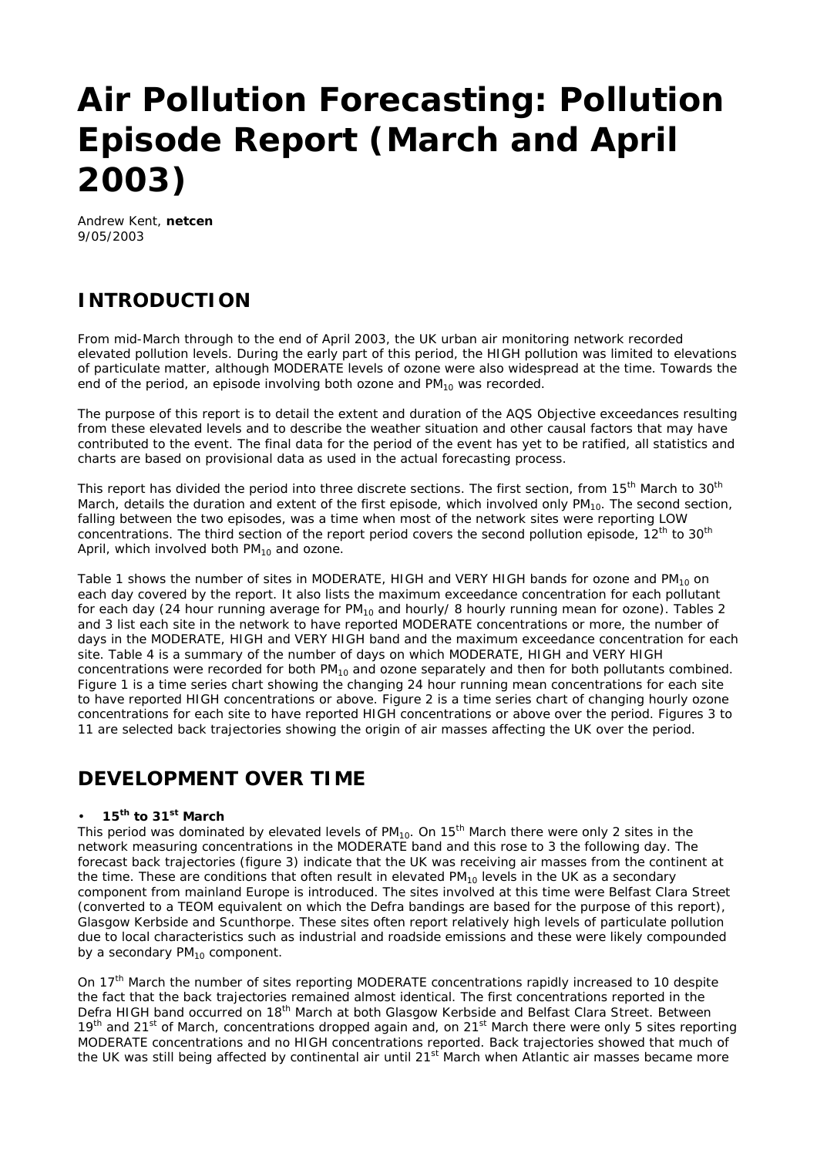# **Air Pollution Forecasting: Pollution Episode Report (March and April 2003)**

Andrew Kent, **netcen** 9/05/2003

# **INTRODUCTION**

From mid-March through to the end of April 2003, the UK urban air monitoring network recorded elevated pollution levels. During the early part of this period, the HIGH pollution was limited to elevations of particulate matter, although MODERATE levels of ozone were also widespread at the time. Towards the end of the period, an episode involving both ozone and  $PM_{10}$  was recorded.

The purpose of this report is to detail the extent and duration of the AQS Objective exceedances resulting from these elevated levels and to describe the weather situation and other causal factors that may have contributed to the event. The final data for the period of the event has yet to be ratified, all statistics and charts are based on provisional data as used in the actual forecasting process.

This report has divided the period into three discrete sections. The first section, from 15<sup>th</sup> March to 30<sup>th</sup> March, details the duration and extent of the first episode, which involved only  $PM_{10}$ . The second section, falling between the two episodes, was a time when most of the network sites were reporting LOW concentrations. The third section of the report period covers the second pollution episode, 12<sup>th</sup> to 30<sup>th</sup> April, which involved both  $PM_{10}$  and ozone.

Table 1 shows the number of sites in MODERATE, HIGH and VERY HIGH bands for ozone and  $PM_{10}$  on each day covered by the report. It also lists the maximum exceedance concentration for each pollutant for each day (24 hour running average for  $PM_{10}$  and hourly/ 8 hourly running mean for ozone). Tables 2 and 3 list each site in the network to have reported MODERATE concentrations or more, the number of days in the MODERATE, HIGH and VERY HIGH band and the maximum exceedance concentration for each site. Table 4 is a summary of the number of days on which MODERATE, HIGH and VERY HIGH concentrations were recorded for both  $PM_{10}$  and ozone separately and then for both pollutants combined. Figure 1 is a time series chart showing the changing 24 hour running mean concentrations for each site to have reported HIGH concentrations or above. Figure 2 is a time series chart of changing hourly ozone concentrations for each site to have reported HIGH concentrations or above over the period. Figures 3 to 11 are selected back trajectories showing the origin of air masses affecting the UK over the period.

# **DEVELOPMENT OVER TIME**

## • **15th to 31st March**

This period was dominated by elevated levels of  $PM_{10}$ . On 15<sup>th</sup> March there were only 2 sites in the network measuring concentrations in the MODERATE band and this rose to 3 the following day. The forecast back trajectories (figure 3) indicate that the UK was receiving air masses from the continent at the time. These are conditions that often result in elevated  $PM_{10}$  levels in the UK as a secondary component from mainland Europe is introduced. The sites involved at this time were Belfast Clara Street (converted to a TEOM equivalent on which the Defra bandings are based for the purpose of this report), Glasgow Kerbside and Scunthorpe. These sites often report relatively high levels of particulate pollution due to local characteristics such as industrial and roadside emissions and these were likely compounded by a secondary  $PM_{10}$  component.

On 17<sup>th</sup> March the number of sites reporting MODERATE concentrations rapidly increased to 10 despite the fact that the back trajectories remained almost identical. The first concentrations reported in the Defra HIGH band occurred on 18<sup>th</sup> March at both Glasgow Kerbside and Belfast Clara Street. Between 19<sup>th</sup> and 21<sup>st</sup> of March, concentrations dropped again and, on 21<sup>st</sup> March there were only 5 sites reporting MODERATE concentrations and no HIGH concentrations reported. Back trajectories showed that much of the UK was still being affected by continental air until 21<sup>st</sup> March when Atlantic air masses became more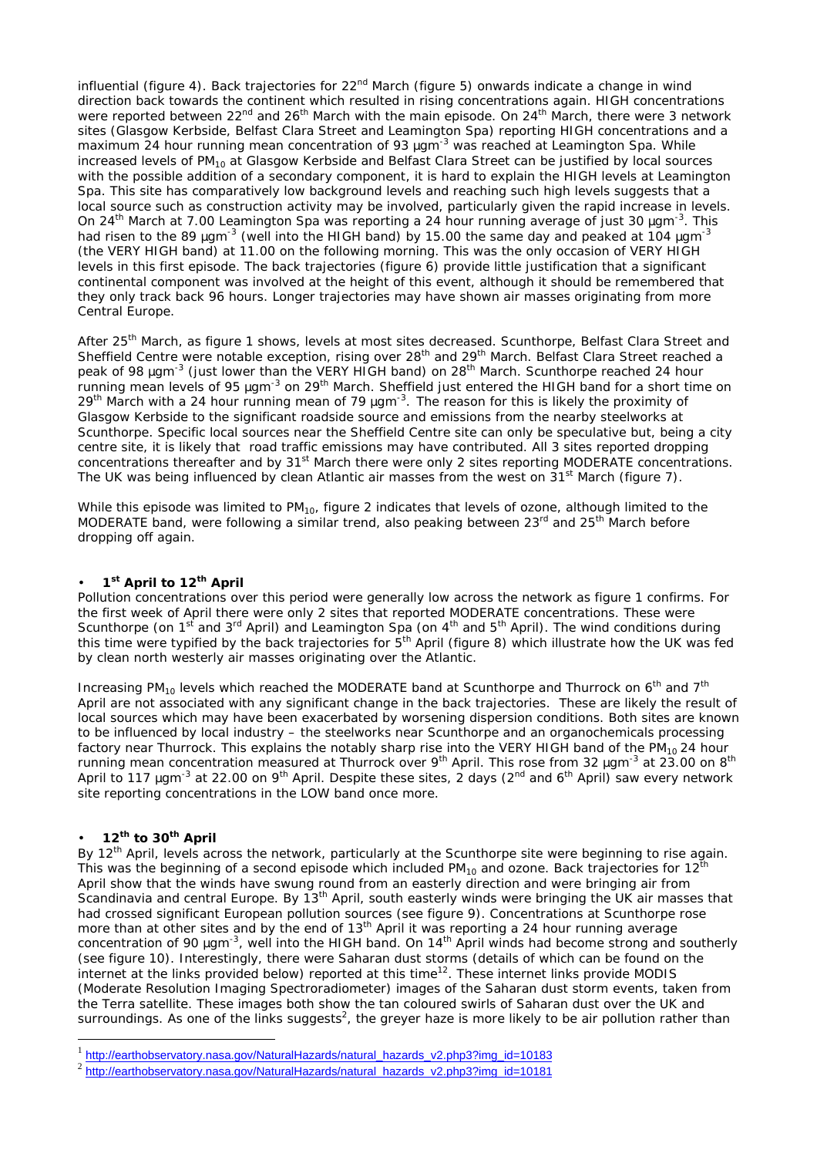influential (figure 4). Back trajectories for  $22<sup>nd</sup>$  March (figure 5) onwards indicate a change in wind direction back towards the continent which resulted in rising concentrations again. HIGH concentrations were reported between  $22<sup>nd</sup>$  and  $26<sup>th</sup>$  March with the main episode. On  $24<sup>th</sup>$  March, there were 3 network sites (Glasgow Kerbside, Belfast Clara Street and Leamington Spa) reporting HIGH concentrations and a maximum 24 hour running mean concentration of 93 mgm<sup>-3</sup> was reached at Leamington Spa. While increased levels of PM<sub>10</sub> at Glasgow Kerbside and Belfast Clara Street can be justified by local sources with the possible addition of a secondary component, it is hard to explain the HIGH levels at Leamington Spa. This site has comparatively low background levels and reaching such high levels suggests that a local source such as construction activity may be involved, particularly given the rapid increase in levels. On 24th March at 7.00 Leamington Spa was reporting a 24 hour running average of just 30 *m*gm-3. This had risen to the 89 *m*gm-3 (well into the HIGH band) by 15.00 the same day and peaked at 104 *m*gm-3 (the VERY HIGH band) at 11.00 on the following morning. This was the only occasion of VERY HIGH levels in this first episode. The back trajectories (figure 6) provide little justification that a significant continental component was involved at the height of this event, although it should be remembered that they only track back 96 hours. Longer trajectories may have shown air masses originating from more Central Europe.

After 25<sup>th</sup> March, as figure 1 shows, levels at most sites decreased. Scunthorpe, Belfast Clara Street and Sheffield Centre were notable exception, rising over 28<sup>th</sup> and 29<sup>th</sup> March. Belfast Clara Street reached a peak of 98 *mg*m<sup>-3</sup> (just lower than the VERY HIGH band) on 28<sup>th</sup> March. Scunthorpe reached 24 hour running mean levels of 95 *m*gm-3 on 29th March. Sheffield just entered the HIGH band for a short time on 29<sup>th</sup> March with a 24 hour running mean of 79 *m*gm<sup>-3</sup>. The reason for this is likely the proximity of Glasgow Kerbside to the significant roadside source and emissions from the nearby steelworks at Scunthorpe. Specific local sources near the Sheffield Centre site can only be speculative but, being a city centre site, it is likely that road traffic emissions may have contributed. All 3 sites reported dropping concentrations thereafter and by 31<sup>st</sup> March there were only 2 sites reporting MODERATE concentrations. The UK was being influenced by clean Atlantic air masses from the west on 31<sup>st</sup> March (figure 7).

While this episode was limited to  $PM_{10}$ , figure 2 indicates that levels of ozone, although limited to the MODERATE band, were following a similar trend, also peaking between  $23<sup>rd</sup>$  and  $25<sup>th</sup>$  March before dropping off again.

#### • **1 st April to 12th April**

Pollution concentrations over this period were generally low across the network as figure 1 confirms. For the first week of April there were only 2 sites that reported MODERATE concentrations. These were Scunthorpe (on 1<sup>st</sup> and 3<sup>rd</sup> April) and Leamington Spa (on 4<sup>th</sup> and 5<sup>th</sup> April). The wind conditions during this time were typified by the back trajectories for 5<sup>th</sup> April (figure 8) which illustrate how the UK was fed by clean north westerly air masses originating over the Atlantic.

Increasing PM<sub>10</sub> levels which reached the MODERATE band at Scunthorpe and Thurrock on  $6<sup>th</sup>$  and  $7<sup>th</sup>$ April are not associated with any significant change in the back trajectories. These are likely the result of local sources which may have been exacerbated by worsening dispersion conditions. Both sites are known to be influenced by local industry – the steelworks near Scunthorpe and an organochemicals processing factory near Thurrock. This explains the notably sharp rise into the VERY HIGH band of the  $PM_{10}$  24 hour running mean concentration measured at Thurrock over 9<sup>th</sup> April. This rose from 32 *m*gm<sup>-3</sup> at 23.00 on 8<sup>th</sup> April to 117 mgm<sup>-3</sup> at 22.00 on 9<sup>th</sup> April. Despite these sites, 2 days (2<sup>nd</sup> and 6<sup>th</sup> April) saw every network site reporting concentrations in the LOW band once more.

#### • **12th to 30th April**

 $\overline{a}$ 

By 12<sup>th</sup> April, levels across the network, particularly at the Scunthorpe site were beginning to rise again. This was the beginning of a second episode which included  $PM_{10}$  and ozone. Back trajectories for 12<sup>th</sup> April show that the winds have swung round from an easterly direction and were bringing air from Scandinavia and central Europe. By 13<sup>th</sup> April, south easterly winds were bringing the UK air masses that had crossed significant European pollution sources (see figure 9). Concentrations at Scunthorpe rose more than at other sites and by the end of 13<sup>th</sup> April it was reporting a 24 hour running average concentration of 90 *m*gm-3, well into the HIGH band. On 14th April winds had become strong and southerly (see figure 10). Interestingly, there were Saharan dust storms (details of which can be found on the internet at the links provided below) reported at this time<sup>12</sup>. These internet links provide MODIS (Moderate Resolution Imaging Spectroradiometer) images of the Saharan dust storm events, taken from the Terra satellite. These images both show the tan coloured swirls of Saharan dust over the UK and surroundings. As one of the links suggests<sup>2</sup>, the greyer haze is more likely to be air pollution rather than

<sup>1</sup> http://earthobservatory.nasa.gov/NaturalHazards/natural\_hazards\_v2.php3?img\_id=10183

<sup>2</sup> http://earthobservatory.nasa.gov/NaturalHazards/natural\_hazards\_v2.php3?img\_id=10181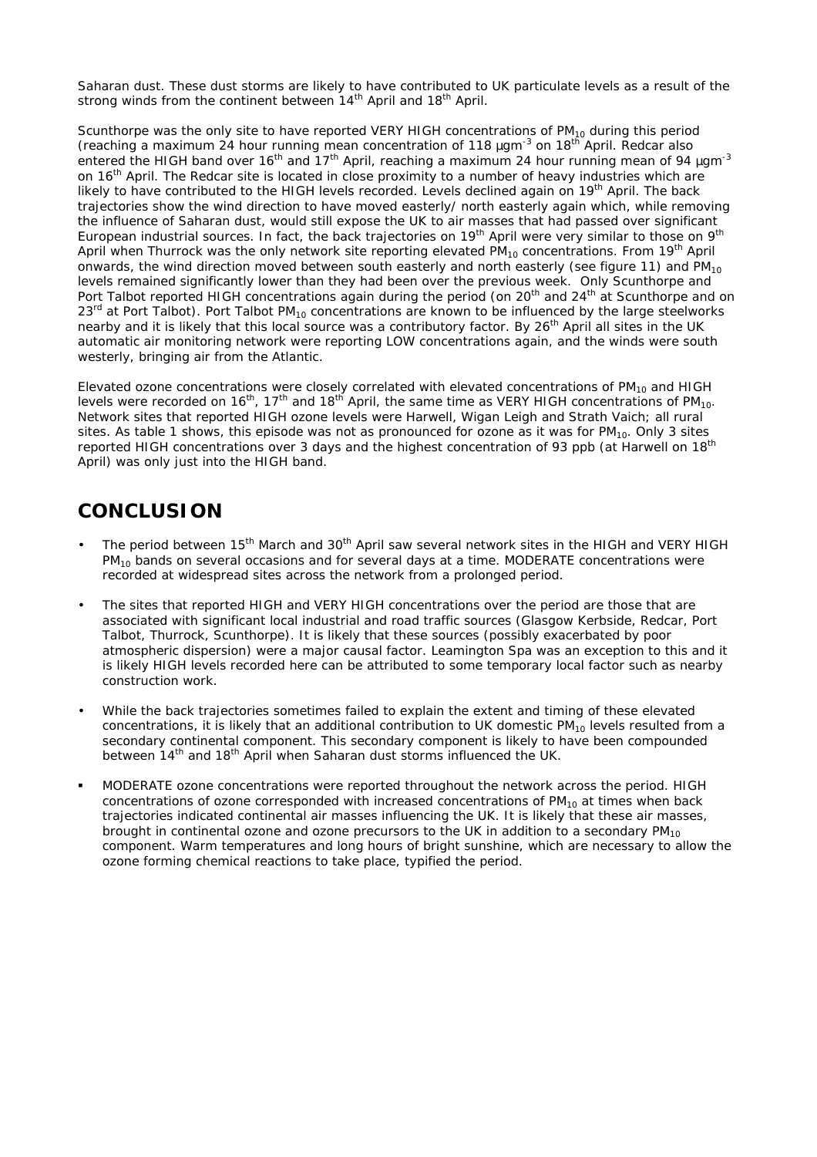Saharan dust. These dust storms are likely to have contributed to UK particulate levels as a result of the strong winds from the continent between  $14<sup>th</sup>$  April and  $18<sup>th</sup>$  April.

Scunthorpe was the only site to have reported VERY HIGH concentrations of  $PM_{10}$  during this period (reaching a maximum 24 hour running mean concentration of 118 *m*gm-3 on 18th April. Redcar also entered the HIGH band over 16th and 17th April, reaching a maximum 24 hour running mean of 94 *m*gm-3 on 16<sup>th</sup> April. The Redcar site is located in close proximity to a number of heavy industries which are likely to have contributed to the HIGH levels recorded. Levels declined again on 19<sup>th</sup> April. The back trajectories show the wind direction to have moved easterly/ north easterly again which, while removing the influence of Saharan dust, would still expose the UK to air masses that had passed over significant European industrial sources. In fact, the back trajectories on 19<sup>th</sup> April were very similar to those on 9<sup>th</sup> April when Thurrock was the only network site reporting elevated  $PM_{10}$  concentrations. From 19<sup>th</sup> April onwards, the wind direction moved between south easterly and north easterly (see figure 11) and  $PM_{10}$ levels remained significantly lower than they had been over the previous week. Only Scunthorpe and Port Talbot reported HIGH concentrations again during the period (on 20<sup>th</sup> and 24<sup>th</sup> at Scunthorpe and on  $23<sup>rd</sup>$  at Port Talbot). Port Talbot PM<sub>10</sub> concentrations are known to be influenced by the large steelworks nearby and it is likely that this local source was a contributory factor. By 26<sup>th</sup> April all sites in the UK automatic air monitoring network were reporting LOW concentrations again, and the winds were south westerly, bringing air from the Atlantic.

Elevated ozone concentrations were closely correlated with elevated concentrations of PM<sub>10</sub> and HIGH levels were recorded on 16<sup>th</sup>, 17<sup>th</sup> and 18<sup>th</sup> April, the same time as VERY HIGH concentrations of PM<sub>10</sub>. Network sites that reported HIGH ozone levels were Harwell, Wigan Leigh and Strath Vaich; all rural sites. As table 1 shows, this episode was not as pronounced for ozone as it was for  $PM_{10}$ . Only 3 sites reported HIGH concentrations over 3 days and the highest concentration of 93 ppb (at Harwell on 18<sup>th</sup> April) was only just into the HIGH band.

# **CONCLUSION**

- The period between 15<sup>th</sup> March and 30<sup>th</sup> April saw several network sites in the HIGH and VERY HIGH  $PM_{10}$  bands on several occasions and for several days at a time. MODERATE concentrations were recorded at widespread sites across the network from a prolonged period.
- The sites that reported HIGH and VERY HIGH concentrations over the period are those that are associated with significant local industrial and road traffic sources (Glasgow Kerbside, Redcar, Port Talbot, Thurrock, Scunthorpe). It is likely that these sources (possibly exacerbated by poor atmospheric dispersion) were a major causal factor. Leamington Spa was an exception to this and it is likely HIGH levels recorded here can be attributed to some temporary local factor such as nearby construction work.
- While the back trajectories sometimes failed to explain the extent and timing of these elevated concentrations, it is likely that an additional contribution to UK domestic  $PM_{10}$  levels resulted from a secondary continental component. This secondary component is likely to have been compounded between 14<sup>th</sup> and 18<sup>th</sup> April when Saharan dust storms influenced the UK.
- ß MODERATE ozone concentrations were reported throughout the network across the period. HIGH concentrations of ozone corresponded with increased concentrations of  $PM_{10}$  at times when back trajectories indicated continental air masses influencing the UK. It is likely that these air masses, brought in continental ozone and ozone precursors to the UK in addition to a secondary  $PM_{10}$ component. Warm temperatures and long hours of bright sunshine, which are necessary to allow the ozone forming chemical reactions to take place, typified the period.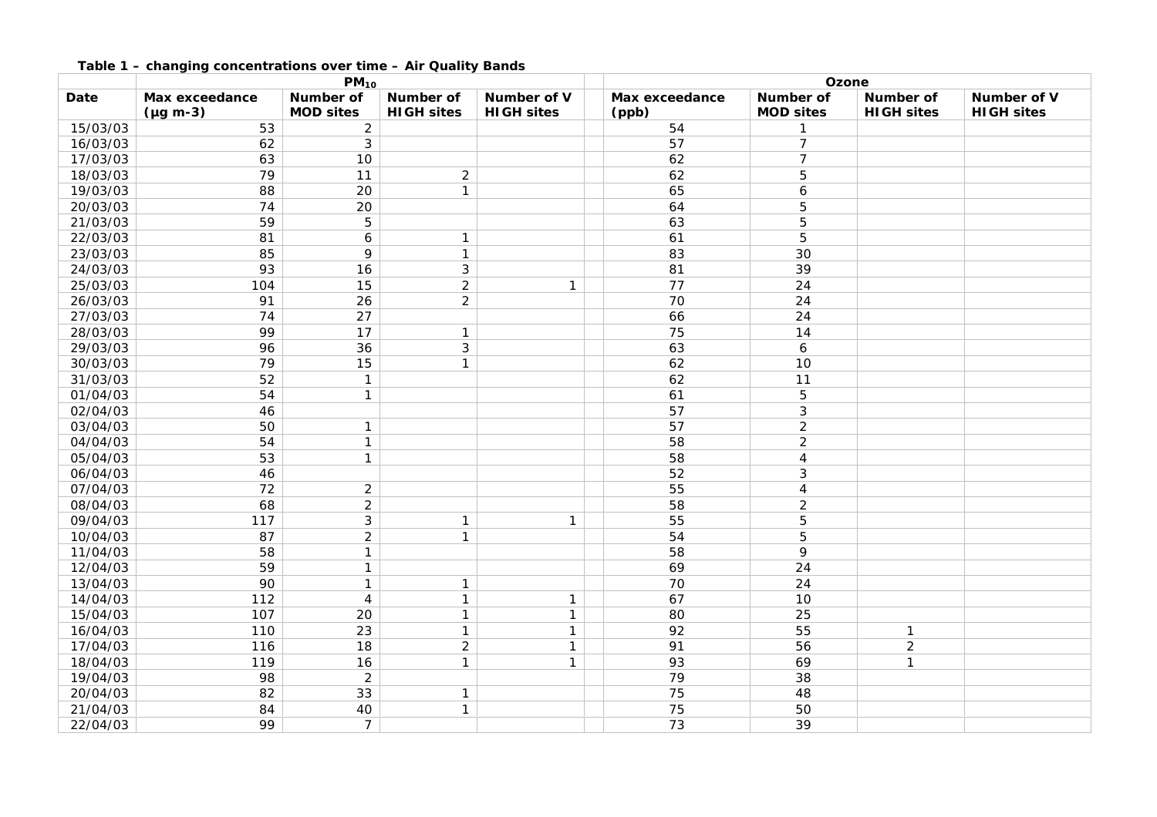|          | $PM_{10}$        |                  |                   | Ozone             |                |                  |                   |                   |
|----------|------------------|------------------|-------------------|-------------------|----------------|------------------|-------------------|-------------------|
| Date     | Max exceedance   | Number of        | Number of         | Number of V       | Max exceedance | <b>Number of</b> | <b>Number of</b>  | Number of V       |
|          | $(\mu g \, m-3)$ | <b>MOD sites</b> | <b>HIGH sites</b> | <b>HIGH sites</b> | (ppb)          | <b>MOD sites</b> | <b>HIGH sites</b> | <b>HIGH sites</b> |
| 15/03/03 | 53               | $\overline{c}$   |                   |                   | 54             | $\mathbf{1}$     |                   |                   |
| 16/03/03 | 62               | 3                |                   |                   | 57             | $\overline{7}$   |                   |                   |
| 17/03/03 | 63               | 10               |                   |                   | 62             | $\overline{7}$   |                   |                   |
| 18/03/03 | 79               | 11               | $\overline{2}$    |                   | 62             | 5                |                   |                   |
| 19/03/03 | 88               | 20               | $\mathbf{1}$      |                   | 65             | 6                |                   |                   |
| 20/03/03 | 74               | 20               |                   |                   | 64             | 5                |                   |                   |
| 21/03/03 | 59               | 5                |                   |                   | 63             | 5                |                   |                   |
| 22/03/03 | 81               | 6                | $\mathbf{1}$      |                   | 61             | 5                |                   |                   |
| 23/03/03 | 85               | 9                | $\mathbf{1}$      |                   | 83             | 30               |                   |                   |
| 24/03/03 | 93               | 16               | $\mathfrak{Z}$    |                   | 81             | 39               |                   |                   |
| 25/03/03 | 104              | 15               | $\overline{2}$    | $\mathbf{1}$      | 77             | 24               |                   |                   |
| 26/03/03 | 91               | 26               | $\overline{2}$    |                   | 70             | 24               |                   |                   |
| 27/03/03 | 74               | 27               |                   |                   | 66             | 24               |                   |                   |
| 28/03/03 | 99               | 17               | $\mathbf{1}$      |                   | 75             | 14               |                   |                   |
| 29/03/03 | 96               | 36               | $\mathfrak{Z}$    |                   | 63             | 6                |                   |                   |
| 30/03/03 | 79               | 15               | $\mathbf{1}$      |                   | 62             | 10               |                   |                   |
| 31/03/03 | 52               | $\mathbf{1}$     |                   |                   | 62             | 11               |                   |                   |
| 01/04/03 | 54               | $\mathbf{1}$     |                   |                   | 61             | 5                |                   |                   |
| 02/04/03 | 46               |                  |                   |                   | 57             | $\sqrt{3}$       |                   |                   |
| 03/04/03 | 50               | $\mathbf{1}$     |                   |                   | 57             | $\overline{2}$   |                   |                   |
| 04/04/03 | 54               | $\mathbf{1}$     |                   |                   | 58             | $\overline{2}$   |                   |                   |
| 05/04/03 | 53               | $\mathbf{1}$     |                   |                   | 58             | $\overline{4}$   |                   |                   |
| 06/04/03 | 46               |                  |                   |                   | 52             | $\mathfrak{Z}$   |                   |                   |
| 07/04/03 | 72               | $\overline{2}$   |                   |                   | 55             | 4                |                   |                   |
| 08/04/03 | 68               | $\overline{2}$   |                   |                   | 58             | $\overline{2}$   |                   |                   |
| 09/04/03 | 117              | 3                | $\mathbf{1}$      | $\mathbf{1}$      | 55             | 5                |                   |                   |
| 10/04/03 | 87               | $\overline{2}$   | $\mathbf{1}$      |                   | 54             | 5                |                   |                   |
| 11/04/03 | 58               | $\mathbf{1}$     |                   |                   | 58             | 9                |                   |                   |
| 12/04/03 | 59               | $\mathbf{1}$     |                   |                   | 69             | 24               |                   |                   |
| 13/04/03 | 90               | $\mathbf{1}$     | $\mathbf{1}$      |                   | 70             | 24               |                   |                   |
| 14/04/03 | 112              | $\overline{4}$   | $\mathbf{1}$      | $\mathbf{1}$      | 67             | 10               |                   |                   |
| 15/04/03 | 107              | 20               | $\mathbf{1}$      | $\mathbf{1}$      | 80             | 25               |                   |                   |
| 16/04/03 | 110              | 23               | $\mathbf{1}$      | $\mathbf{1}$      | 92             | 55               | $\mathbf{1}$      |                   |
| 17/04/03 | 116              | 18               | $\overline{2}$    | $\mathbf{1}$      | 91             | 56               | $\overline{2}$    |                   |
| 18/04/03 | 119              | 16               | $\mathbf{1}$      | $\mathbf{1}$      | 93             | 69               | $\mathbf{1}$      |                   |
| 19/04/03 | 98               | $\overline{2}$   |                   |                   | 79             | 38               |                   |                   |
| 20/04/03 | 82               | 33               | $\mathbf{1}$      |                   | 75             | 48               |                   |                   |
| 21/04/03 | 84               | 40               | $\mathbf{1}$      |                   | 75             | 50               |                   |                   |
| 22/04/03 | 99               | $\overline{7}$   |                   |                   | 73             | 39               |                   |                   |

#### **Table 1 – changing concentrations over time – Air Quality Bands**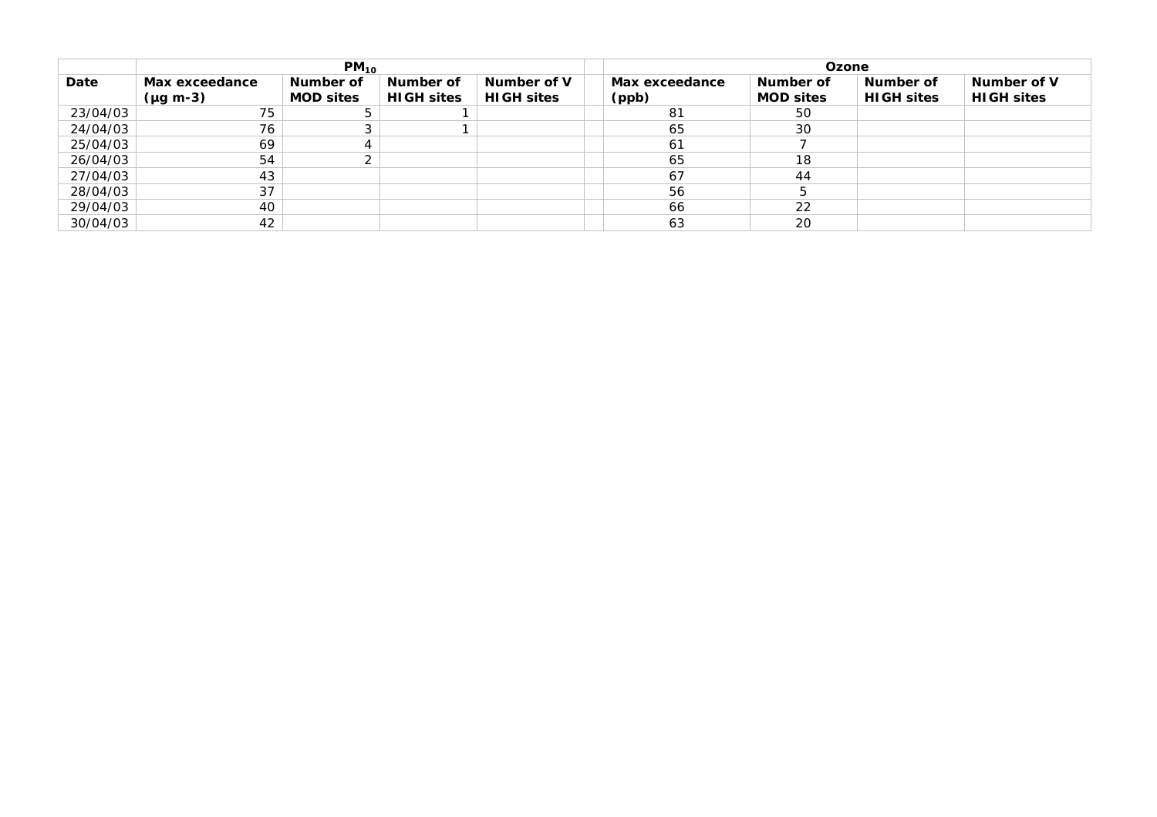| $PM_{10}$ |                                    |                               |                                | Ozone                            |  |                         |                               |                                |                                  |
|-----------|------------------------------------|-------------------------------|--------------------------------|----------------------------------|--|-------------------------|-------------------------------|--------------------------------|----------------------------------|
| Date      | Max exceedance<br>$(\mu g \, m-3)$ | Number of<br><b>MOD sites</b> | Number of<br><b>HIGH sites</b> | Number of V<br><b>HIGH sites</b> |  | Max exceedance<br>(ppb) | Number of<br><b>MOD sites</b> | Number of<br><b>HIGH sites</b> | Number of V<br><b>HIGH sites</b> |
| 23/04/03  | 75                                 | 5                             |                                |                                  |  | -81                     | 50                            |                                |                                  |
| 24/04/03  | 76                                 | $\sim$<br>د                   |                                |                                  |  | 65                      | 30                            |                                |                                  |
| 25/04/03  | 69                                 | 4                             |                                |                                  |  | 61                      |                               |                                |                                  |
| 26/04/03  | 54                                 | ⌒<br>∠                        |                                |                                  |  | 65                      | 18                            |                                |                                  |
| 27/04/03  | 43                                 |                               |                                |                                  |  | 67                      | 44                            |                                |                                  |
| 28/04/03  | 37                                 |                               |                                |                                  |  | 56                      |                               |                                |                                  |
| 29/04/03  | 40                                 |                               |                                |                                  |  | 66                      | 22                            |                                |                                  |
| 30/04/03  | 42                                 |                               |                                |                                  |  | 63                      | 20                            |                                |                                  |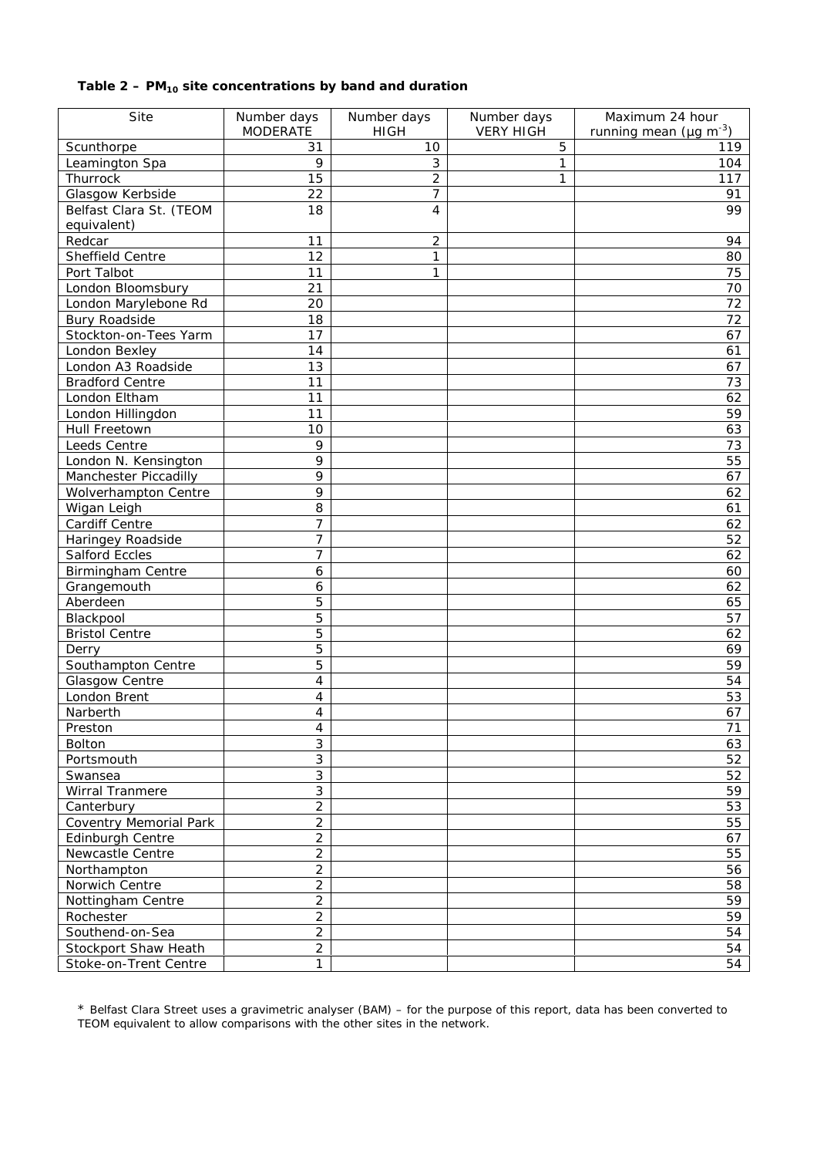## **Table 2 – PM10 site concentrations by band and duration**

| Site                          | Number days             | Number days    | Number days      | Maximum 24 hour                          |
|-------------------------------|-------------------------|----------------|------------------|------------------------------------------|
|                               | <b>MODERATE</b>         | <b>HIGH</b>    | <b>VERY HIGH</b> | running mean ( $\mu$ g m <sup>-3</sup> ) |
| Scunthorpe                    | 31                      | 10             | 5                | 119                                      |
| Leamington Spa                | 9                       | 3              | 1                | 104                                      |
| Thurrock                      | 15                      | $\overline{2}$ | 1                | 117                                      |
| Glasgow Kerbside              | 22                      | 7              |                  | 91                                       |
| Belfast Clara St. (TEOM       | 18                      | 4              |                  | 99                                       |
| equivalent)                   |                         |                |                  |                                          |
| Redcar                        | 11                      | 2              |                  | 94                                       |
| Sheffield Centre              | 12                      | 1              |                  | 80                                       |
| Port Talbot                   | 11                      | 1              |                  | 75                                       |
| London Bloomsbury             | 21                      |                |                  | 70                                       |
| London Marylebone Rd          | 20                      |                |                  | 72                                       |
| <b>Bury Roadside</b>          | 18                      |                |                  | 72                                       |
| Stockton-on-Tees Yarm         | 17                      |                |                  | 67                                       |
| London Bexley                 | 14                      |                |                  | 61                                       |
| London A3 Roadside            | 13                      |                |                  | 67                                       |
| <b>Bradford Centre</b>        | 11                      |                |                  | 73                                       |
| London Eltham                 | 11                      |                |                  | 62                                       |
| London Hillingdon             | 11                      |                |                  | 59                                       |
| Hull Freetown                 | 10                      |                |                  | 63                                       |
| Leeds Centre                  | 9                       |                |                  | 73                                       |
| London N. Kensington          | 9                       |                |                  | 55                                       |
| Manchester Piccadilly         | 9                       |                |                  | 67                                       |
| Wolverhampton Centre          | 9                       |                |                  | 62                                       |
| Wigan Leigh                   | 8                       |                |                  | 61                                       |
| Cardiff Centre                | 7                       |                |                  | 62                                       |
| Haringey Roadside             | 7                       |                |                  | 52                                       |
| <b>Salford Eccles</b>         | $\overline{7}$          |                |                  | 62                                       |
| <b>Birmingham Centre</b>      | $\ddot{\mathbf{6}}$     |                |                  | 60                                       |
| Grangemouth                   | $\ddot{\mathbf{6}}$     |                |                  | 62                                       |
| Aberdeen                      | 5                       |                |                  | 65                                       |
| Blackpool                     | 5                       |                |                  | 57                                       |
| <b>Bristol Centre</b>         | 5                       |                |                  | 62                                       |
| Derry                         | 5                       |                |                  | 69                                       |
| Southampton Centre            | 5                       |                |                  | 59                                       |
| Glasgow Centre                | 4                       |                |                  | 54                                       |
| London Brent                  | 4                       |                |                  | 53                                       |
| Narberth                      | $\overline{\mathbf{4}}$ |                |                  | 67                                       |
| Preston                       | 4                       |                |                  | 71                                       |
| <b>Bolton</b>                 | 3                       |                |                  | 63                                       |
| Portsmouth                    | 3                       |                |                  | 52                                       |
| Swansea                       | $\overline{3}$          |                |                  | 52                                       |
| Wirral Tranmere               | 3                       |                |                  | 59                                       |
| Canterbury                    | $\overline{2}$          |                |                  | 53                                       |
| <b>Coventry Memorial Park</b> | $\overline{2}$          |                |                  | 55                                       |
| Edinburgh Centre              | $\overline{c}$          |                |                  | 67                                       |
| Newcastle Centre              | $\overline{c}$          |                |                  | 55                                       |
| Northampton                   | $\overline{c}$          |                |                  | 56                                       |
| Norwich Centre                | $\overline{2}$          |                |                  | 58                                       |
| Nottingham Centre             | $\overline{2}$          |                |                  | 59                                       |
| Rochester                     | $\overline{c}$          |                |                  | 59                                       |
| Southend-on-Sea               | $\overline{2}$          |                |                  | 54                                       |
| Stockport Shaw Heath          | $\overline{2}$          |                |                  | 54                                       |
| Stoke-on-Trent Centre         | $\mathbf{1}$            |                |                  | 54                                       |
|                               |                         |                |                  |                                          |

\* Belfast Clara Street uses a gravimetric analyser (BAM) – for the purpose of this report, data has been converted to TEOM equivalent to allow comparisons with the other sites in the network.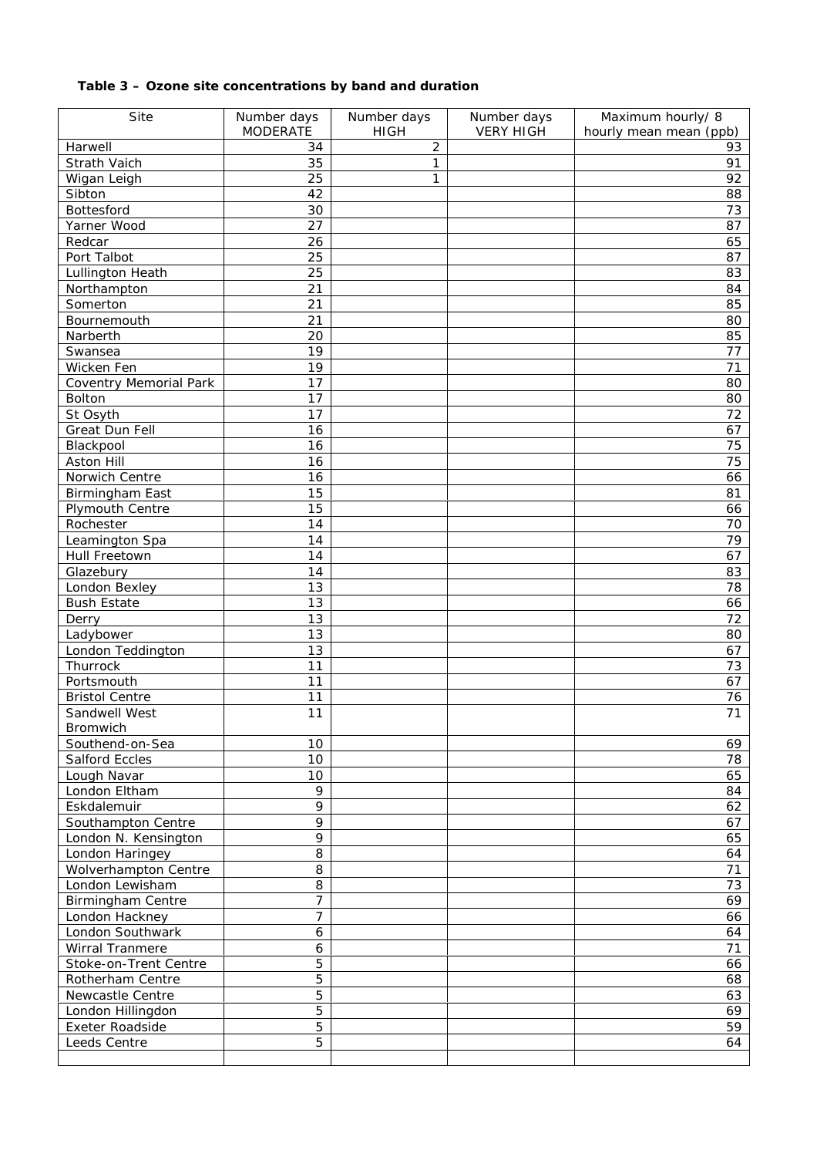## **Table 3 – Ozone site concentrations by band and duration**

| Site                          | Number days      | Number days    | Number days      | Maximum hourly/ 8      |
|-------------------------------|------------------|----------------|------------------|------------------------|
|                               | <b>MODERATE</b>  | <b>HIGH</b>    | <b>VERY HIGH</b> | hourly mean mean (ppb) |
| Harwell                       | 34               | $\overline{c}$ |                  | 93                     |
| Strath Vaich                  | 35               | 1              |                  | 91                     |
| Wigan Leigh                   | 25               | 1              |                  | 92                     |
| Sibton                        | 42               |                |                  | 88                     |
| Bottesford                    | 30               |                |                  | 73                     |
| Yarner Wood                   | 27               |                |                  | 87                     |
| Redcar                        | 26               |                |                  | 65                     |
| Port Talbot                   | 25               |                |                  | 87                     |
| Lullington Heath              | 25               |                |                  | 83                     |
| Northampton                   | 21               |                |                  | 84                     |
| Somerton                      | 21               |                |                  | 85                     |
| Bournemouth                   | 21               |                |                  | 80                     |
| Narberth                      | 20               |                |                  | 85                     |
| Swansea                       | 19               |                |                  | 77                     |
| Wicken Fen                    | 19               |                |                  | 71                     |
| <b>Coventry Memorial Park</b> | 17               |                |                  | 80                     |
| Bolton                        | 17               |                |                  | 80                     |
| St Osyth                      | 17               |                |                  | 72                     |
| Great Dun Fell                | 16               |                |                  | 67                     |
| Blackpool                     | 16               |                |                  | 75                     |
| Aston Hill                    | 16               |                |                  | 75                     |
| Norwich Centre                | 16               |                |                  | 66                     |
| Birmingham East               | 15               |                |                  | 81                     |
| Plymouth Centre               | 15               |                |                  | 66                     |
| Rochester                     | 14               |                |                  | 70                     |
| Leamington Spa                | 14               |                |                  | 79                     |
| Hull Freetown                 | 14               |                |                  | 67                     |
| Glazebury                     | 14               |                |                  | 83                     |
| London Bexley                 | 13               |                |                  | 78                     |
| <b>Bush Estate</b>            | 13               |                |                  | 66                     |
| Derry                         | 13               |                |                  | 72                     |
| Ladybower                     | 13               |                |                  | 80                     |
| London Teddington             | 13               |                |                  | 67                     |
| Thurrock                      | 11               |                |                  | 73                     |
| Portsmouth                    | 11               |                |                  | 67                     |
| <b>Bristol Centre</b>         | 11               |                |                  | 76                     |
| Sandwell West                 | 11               |                |                  | 71                     |
| Bromwich                      |                  |                |                  |                        |
| Southend-on-Sea               | 10               |                |                  | 69                     |
| Salford Eccles                | 10               |                |                  | 78                     |
| Lough Navar                   | 10               |                |                  | 65                     |
| London Eltham                 | 9                |                |                  | 84                     |
| Eskdalemuir                   | 9                |                |                  | 62                     |
| Southampton Centre            | 9                |                |                  | 67                     |
| London N. Kensington          | 9                |                |                  | 65                     |
| London Haringey               | 8                |                |                  | 64                     |
| Wolverhampton Centre          | 8                |                |                  | 71                     |
| London Lewisham               | 8                |                |                  | 73                     |
| <b>Birmingham Centre</b>      | $\overline{7}$   |                |                  | 69                     |
| London Hackney                | $\overline{7}$   |                |                  | 66                     |
| London Southwark              | $\boldsymbol{6}$ |                |                  | 64                     |
| Wirral Tranmere               | 6                |                |                  | 71                     |
| Stoke-on-Trent Centre         | 5                |                |                  | 66                     |
| Rotherham Centre              | 5                |                |                  | 68                     |
| Newcastle Centre              | 5                |                |                  | 63                     |
| London Hillingdon             | 5                |                |                  | 69                     |
| Exeter Roadside               | 5                |                |                  | 59                     |
| Leeds Centre                  | $\overline{5}$   |                |                  | 64                     |
|                               |                  |                |                  |                        |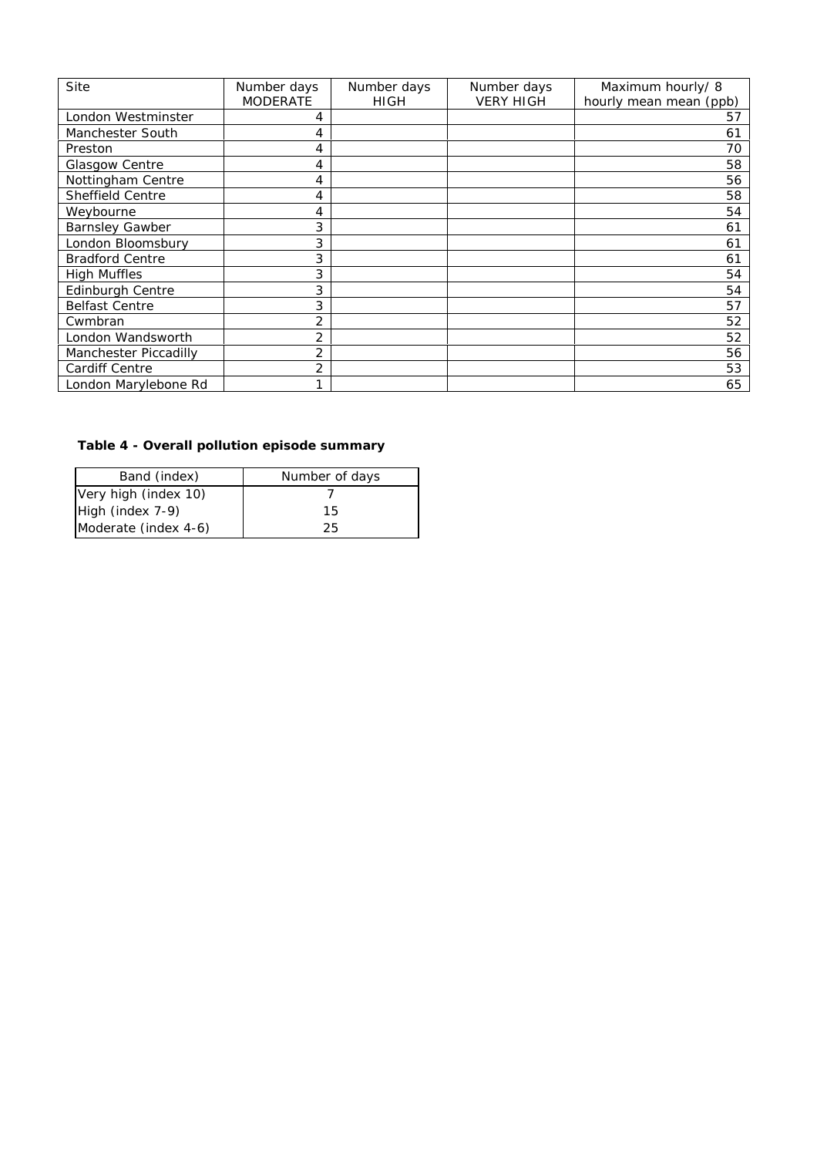| Site                    | Number days     | Number days | Number days      | Maximum hourly/ 8      |
|-------------------------|-----------------|-------------|------------------|------------------------|
|                         | <b>MODERATE</b> | <b>HIGH</b> | <b>VERY HIGH</b> | hourly mean mean (ppb) |
| London Westminster      | 4               |             |                  | 57                     |
| Manchester South        | 4               |             |                  | 61                     |
| Preston                 | 4               |             |                  | 70                     |
| Glasgow Centre          | 4               |             |                  | 58                     |
| Nottingham Centre       | 4               |             |                  | 56                     |
| <b>Sheffield Centre</b> | 4               |             |                  | 58                     |
| Weybourne               | 4               |             |                  | 54                     |
| <b>Barnsley Gawber</b>  | 3               |             |                  | 61                     |
| London Bloomsbury       | 3               |             |                  | 61                     |
| <b>Bradford Centre</b>  | 3               |             |                  | 61                     |
| <b>High Muffles</b>     | 3               |             |                  | 54                     |
| Edinburgh Centre        | 3               |             |                  | 54                     |
| <b>Belfast Centre</b>   | 3               |             |                  | 57                     |
| Cwmbran                 | 2               |             |                  | 52                     |
| London Wandsworth       | 2               |             |                  | 52                     |
| Manchester Piccadilly   | $\overline{2}$  |             |                  | 56                     |
| Cardiff Centre          | 2               |             |                  | 53                     |
| London Marylebone Rd    | 1               |             |                  | 65                     |

# **Table 4 - Overall pollution episode summary**

| Band (index)         | Number of days |  |  |
|----------------------|----------------|--|--|
| Very high (index 10) |                |  |  |
| High (index 7-9)     | 15             |  |  |
| Moderate (index 4-6) | 25             |  |  |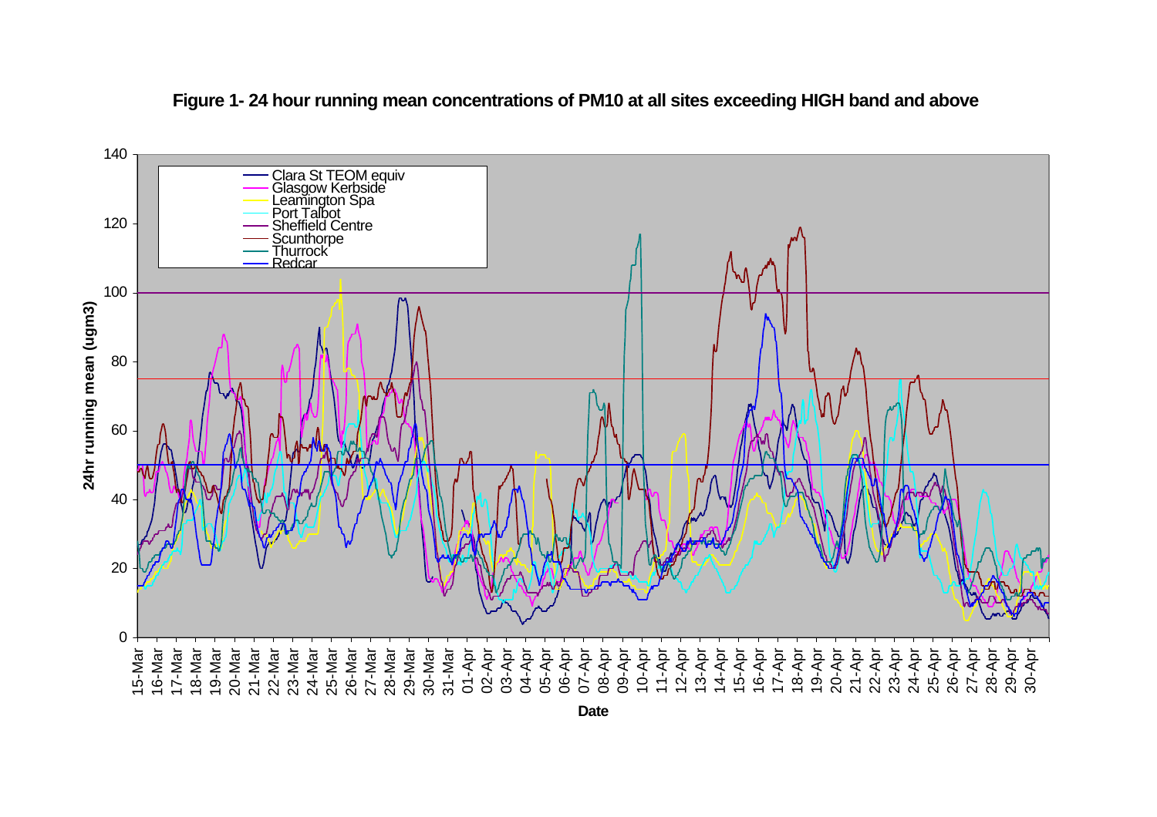

**Figure 1- 24 hour running mean concentrations of PM10 at all sites exceeding HIGH band and above**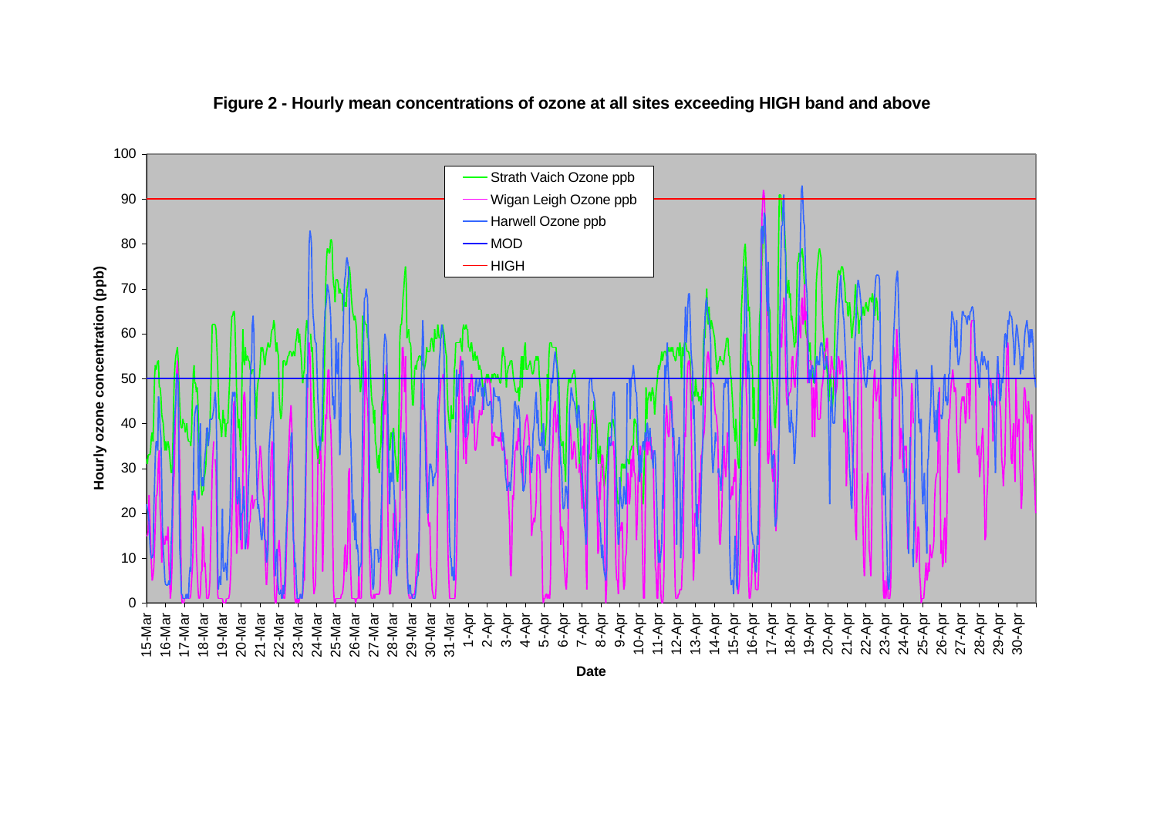

## **Figure 2 - Hourly mean concentrations of ozone at all sites exceeding HIGH band and above**

**Date**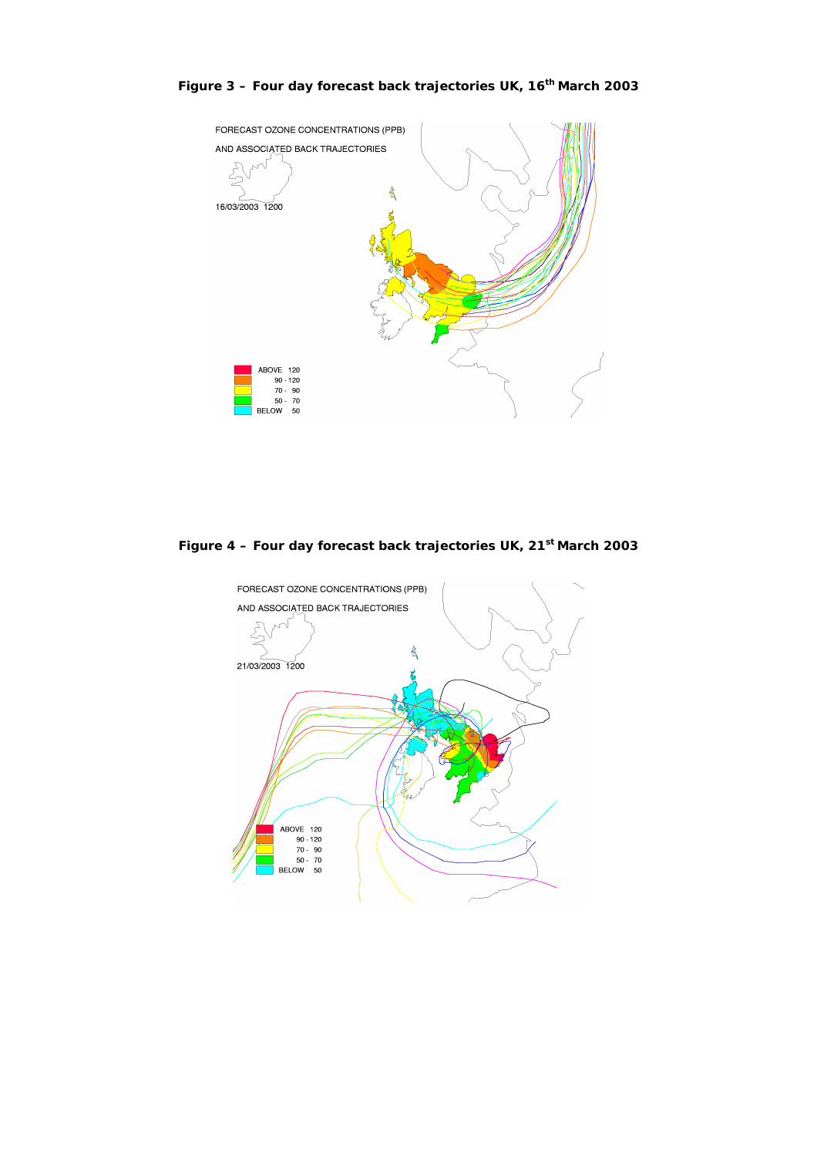

## **Figure 3 – Four day forecast back trajectories UK, 16th March 2003**

**Figure 4 – Four day forecast back trajectories UK, 21st March 2003**

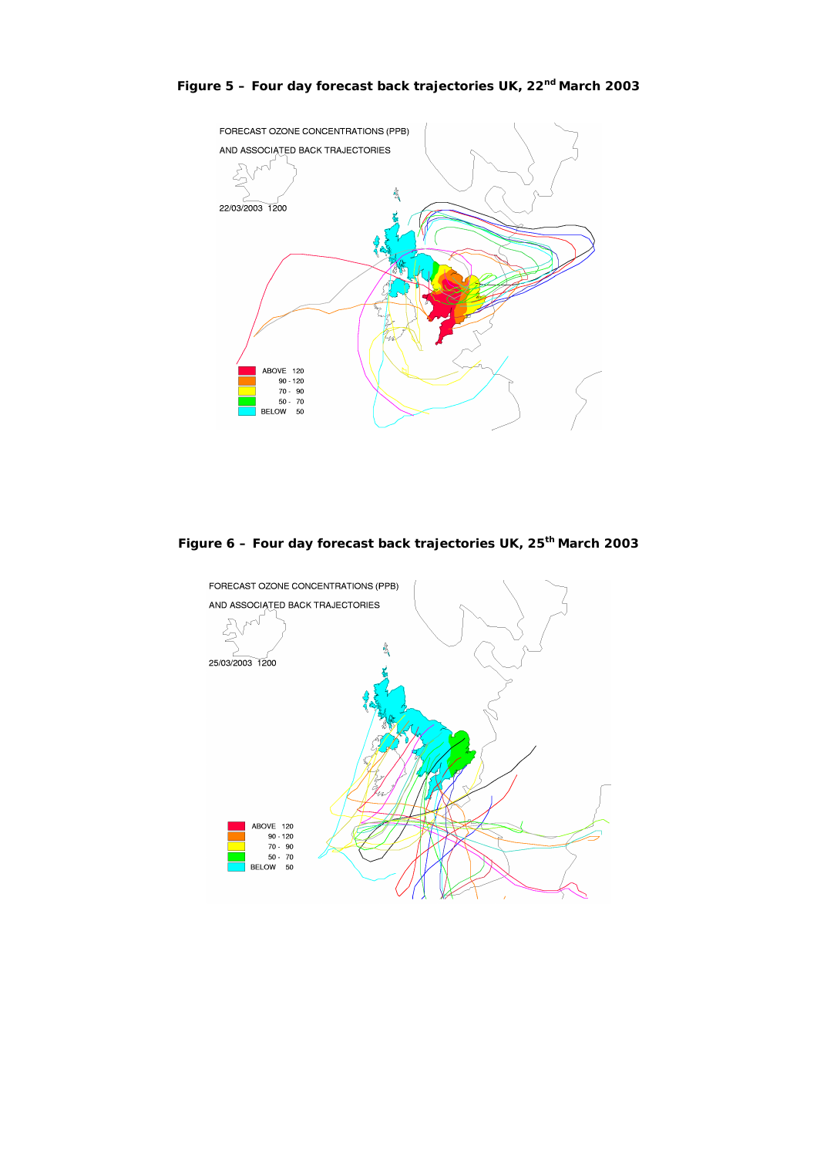

**Figure 5 – Four day forecast back trajectories UK, 22nd March 2003**

**Figure 6 – Four day forecast back trajectories UK, 25th March 2003**

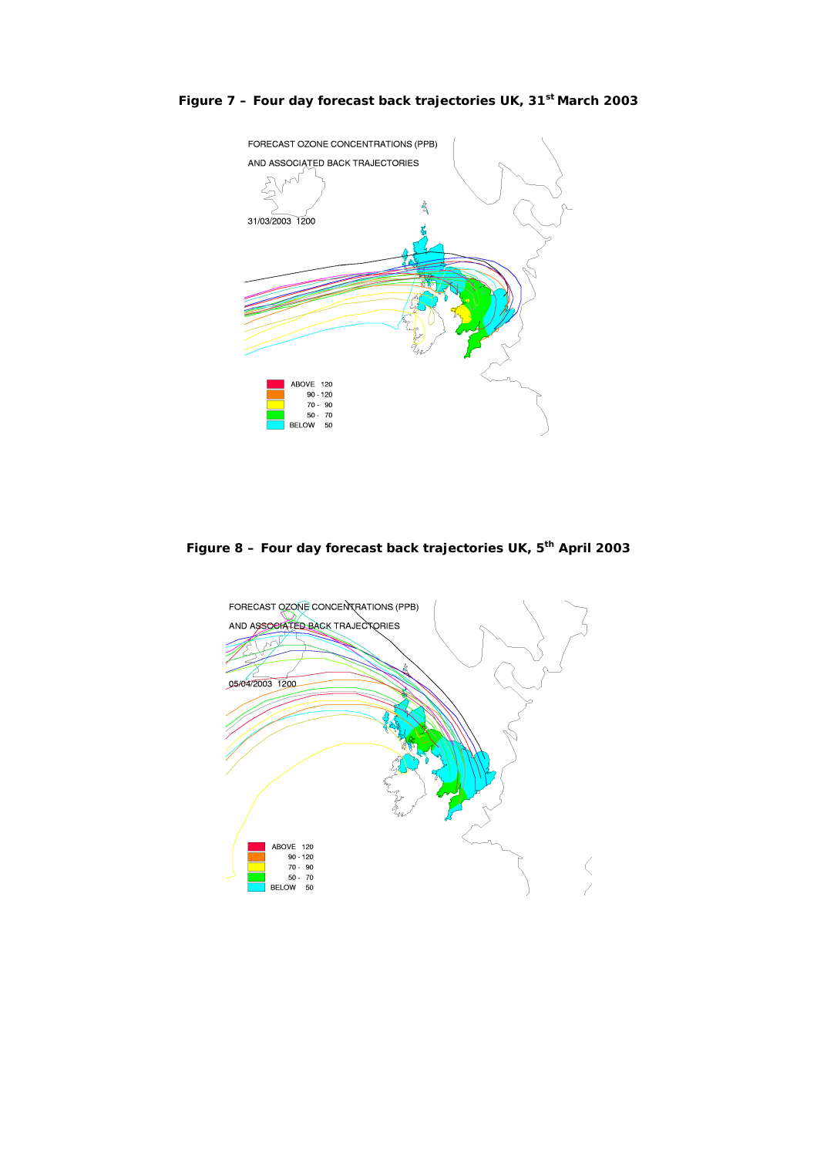

**Figure 7 – Four day forecast back trajectories UK, 31st March 2003**

**Figure 8 – Four day forecast back trajectories UK, 5th April 2003**

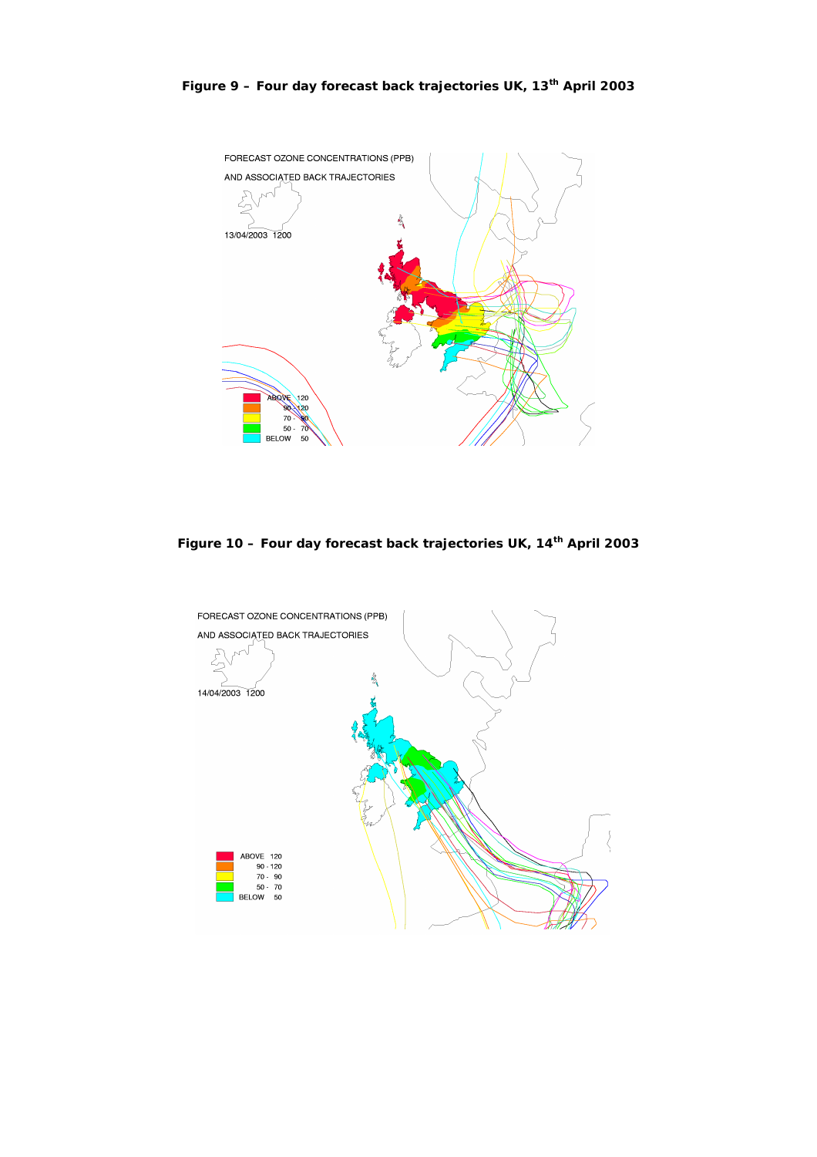

**Figure 10 – Four day forecast back trajectories UK, 14th April 2003**